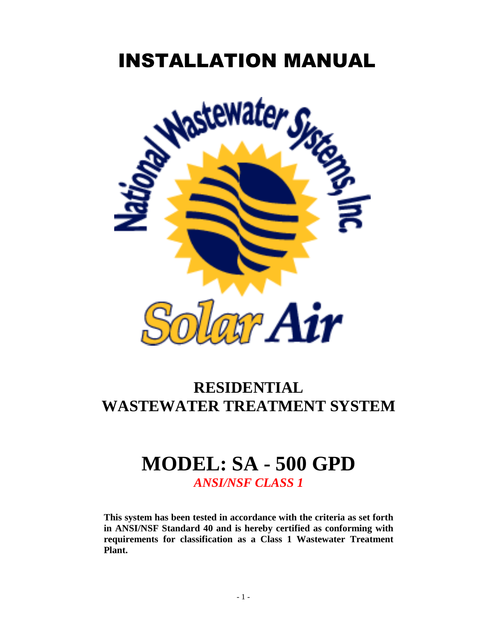## INSTALLATION MANUAL



## **RESIDENTIAL WASTEWATER TREATMENT SYSTEM**

## **MODEL: SA - 500 GPD** *ANSI/NSF CLASS 1*

**This system has been tested in accordance with the criteria as set forth in ANSI/NSF Standard 40 and is hereby certified as conforming with requirements for classification as a Class 1 Wastewater Treatment Plant.**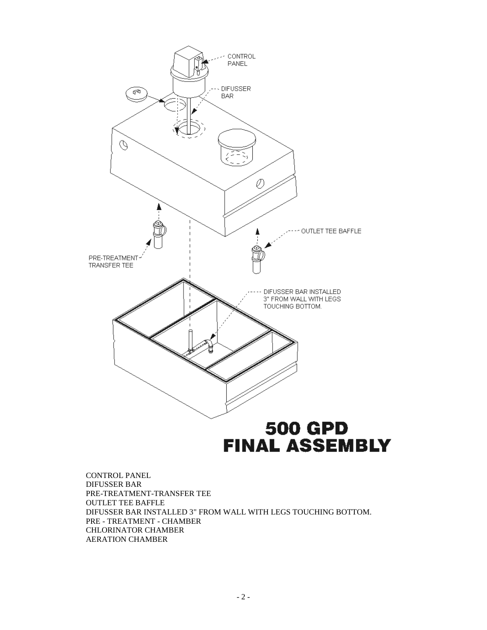

# **FINAL ASSEMBLY**

CONTROL PANEL DIFUSSER BAR PRE-TREATMENT-TRANSFER TEE OUTLET TEE BAFFLE DIFUSSER BAR INSTALLED 3" FROM WALL WITH LEGS TOUCHING BOTTOM. PRE - TREATMENT - CHAMBER CHLORINATOR CHAMBER AERATION CHAMBER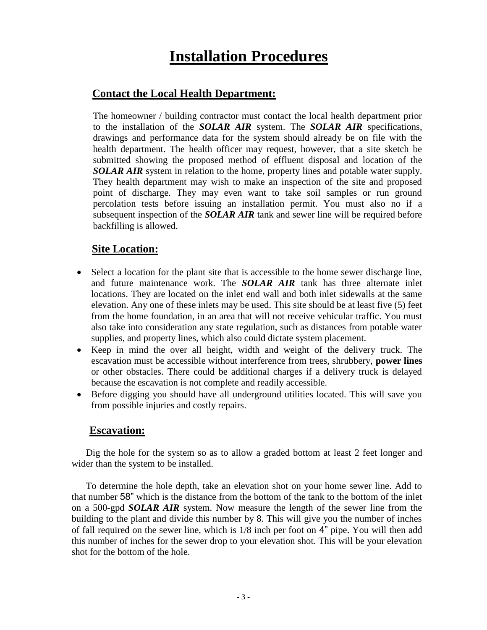### **Installation Procedures**

#### **Contact the Local Health Department:**

The homeowner / building contractor must contact the local health department prior to the installation of the *SOLAR AIR* system. The *SOLAR AIR* specifications, drawings and performance data for the system should already be on file with the health department. The health officer may request, however, that a site sketch be submitted showing the proposed method of effluent disposal and location of the *SOLAR AIR* system in relation to the home, property lines and potable water supply. They health department may wish to make an inspection of the site and proposed point of discharge. They may even want to take soil samples or run ground percolation tests before issuing an installation permit. You must also no if a subsequent inspection of the *SOLAR AIR* tank and sewer line will be required before backfilling is allowed.

#### **Site Location:**

- Select a location for the plant site that is accessible to the home sewer discharge line, and future maintenance work. The *SOLAR AIR* tank has three alternate inlet locations. They are located on the inlet end wall and both inlet sidewalls at the same elevation. Any one of these inlets may be used. This site should be at least five (5) feet from the home foundation, in an area that will not receive vehicular traffic. You must also take into consideration any state regulation, such as distances from potable water supplies, and property lines, which also could dictate system placement.
- Keep in mind the over all height, width and weight of the delivery truck. The escavation must be accessible without interference from trees, shrubbery, **power lines**  or other obstacles. There could be additional charges if a delivery truck is delayed because the escavation is not complete and readily accessible.
- Before digging you should have all underground utilities located. This will save you from possible injuries and costly repairs.

#### **Escavation:**

Dig the hole for the system so as to allow a graded bottom at least 2 feet longer and wider than the system to be installed.

To determine the hole depth, take an elevation shot on your home sewer line. Add to that number 58" which is the distance from the bottom of the tank to the bottom of the inlet on a 500-gpd *SOLAR AIR* system. Now measure the length of the sewer line from the building to the plant and divide this number by 8. This will give you the number of inches of fall required on the sewer line, which is 1/8 inch per foot on 4" pipe. You will then add this number of inches for the sewer drop to your elevation shot. This will be your elevation shot for the bottom of the hole.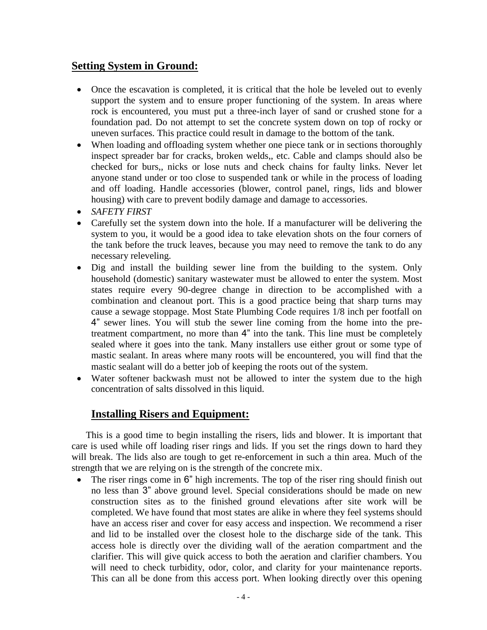#### **Setting System in Ground:**

- Once the escavation is completed, it is critical that the hole be leveled out to evenly support the system and to ensure proper functioning of the system. In areas where rock is encountered, you must put a three-inch layer of sand or crushed stone for a foundation pad. Do not attempt to set the concrete system down on top of rocky or uneven surfaces. This practice could result in damage to the bottom of the tank.
- When loading and offloading system whether one piece tank or in sections thoroughly inspect spreader bar for cracks, broken welds,, etc. Cable and clamps should also be checked for burs,, nicks or lose nuts and check chains for faulty links. Never let anyone stand under or too close to suspended tank or while in the process of loading and off loading. Handle accessories (blower, control panel, rings, lids and blower housing) with care to prevent bodily damage and damage to accessories.
- *SAFETY FIRST*
- Carefully set the system down into the hole. If a manufacturer will be delivering the system to you, it would be a good idea to take elevation shots on the four corners of the tank before the truck leaves, because you may need to remove the tank to do any necessary releveling.
- Dig and install the building sewer line from the building to the system. Only household (domestic) sanitary wastewater must be allowed to enter the system. Most states require every 90-degree change in direction to be accomplished with a combination and cleanout port. This is a good practice being that sharp turns may cause a sewage stoppage. Most State Plumbing Code requires 1/8 inch per footfall on 4" sewer lines. You will stub the sewer line coming from the home into the pretreatment compartment, no more than 4" into the tank. This line must be completely sealed where it goes into the tank. Many installers use either grout or some type of mastic sealant. In areas where many roots will be encountered, you will find that the mastic sealant will do a better job of keeping the roots out of the system.
- Water softener backwash must not be allowed to inter the system due to the high concentration of salts dissolved in this liquid.

#### **Installing Risers and Equipment:**

This is a good time to begin installing the risers, lids and blower. It is important that care is used while off loading riser rings and lids. If you set the rings down to hard they will break. The lids also are tough to get re-enforcement in such a thin area. Much of the strength that we are relying on is the strength of the concrete mix.

 The riser rings come in 6" high increments. The top of the riser ring should finish out no less than 3" above ground level. Special considerations should be made on new construction sites as to the finished ground elevations after site work will be completed. We have found that most states are alike in where they feel systems should have an access riser and cover for easy access and inspection. We recommend a riser and lid to be installed over the closest hole to the discharge side of the tank. This access hole is directly over the dividing wall of the aeration compartment and the clarifier. This will give quick access to both the aeration and clarifier chambers. You will need to check turbidity, odor, color, and clarity for your maintenance reports. This can all be done from this access port. When looking directly over this opening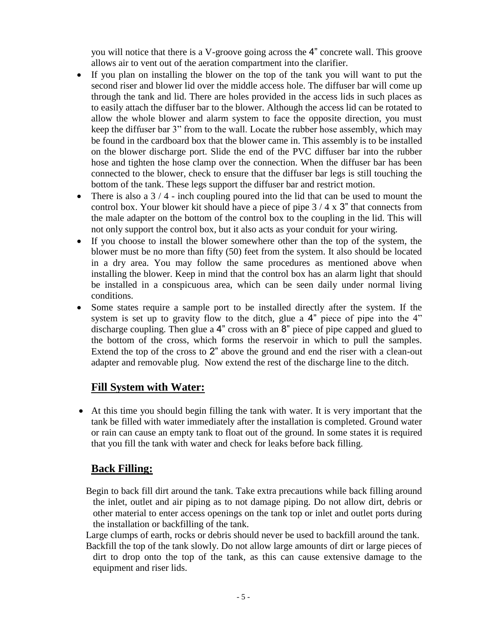you will notice that there is a V-groove going across the 4" concrete wall. This groove allows air to vent out of the aeration compartment into the clarifier.

- If you plan on installing the blower on the top of the tank you will want to put the second riser and blower lid over the middle access hole. The diffuser bar will come up through the tank and lid. There are holes provided in the access lids in such places as to easily attach the diffuser bar to the blower. Although the access lid can be rotated to allow the whole blower and alarm system to face the opposite direction, you must keep the diffuser bar 3" from to the wall. Locate the rubber hose assembly, which may be found in the cardboard box that the blower came in. This assembly is to be installed on the blower discharge port. Slide the end of the PVC diffuser bar into the rubber hose and tighten the hose clamp over the connection. When the diffuser bar has been connected to the blower, check to ensure that the diffuser bar legs is still touching the bottom of the tank. These legs support the diffuser bar and restrict motion.
- There is also a  $3/4$  inch coupling poured into the lid that can be used to mount the control box. Your blower kit should have a piece of pipe 3 / 4 x 3" that connects from the male adapter on the bottom of the control box to the coupling in the lid. This will not only support the control box, but it also acts as your conduit for your wiring.
- If you choose to install the blower somewhere other than the top of the system, the blower must be no more than fifty (50) feet from the system. It also should be located in a dry area. You may follow the same procedures as mentioned above when installing the blower. Keep in mind that the control box has an alarm light that should be installed in a conspicuous area, which can be seen daily under normal living conditions.
- Some states require a sample port to be installed directly after the system. If the system is set up to gravity flow to the ditch, glue a 4" piece of pipe into the 4" discharge coupling. Then glue a 4" cross with an 8" piece of pipe capped and glued to the bottom of the cross, which forms the reservoir in which to pull the samples. Extend the top of the cross to 2" above the ground and end the riser with a clean-out adapter and removable plug. Now extend the rest of the discharge line to the ditch.

#### **Fill System with Water:**

 At this time you should begin filling the tank with water. It is very important that the tank be filled with water immediately after the installation is completed. Ground water or rain can cause an empty tank to float out of the ground. In some states it is required that you fill the tank with water and check for leaks before back filling.

#### **Back Filling:**

- Begin to back fill dirt around the tank. Take extra precautions while back filling around the inlet, outlet and air piping as to not damage piping. Do not allow dirt, debris or other material to enter access openings on the tank top or inlet and outlet ports during the installation or backfilling of the tank.
- Large clumps of earth, rocks or debris should never be used to backfill around the tank. Backfill the top of the tank slowly. Do not allow large amounts of dirt or large pieces of dirt to drop onto the top of the tank, as this can cause extensive damage to the equipment and riser lids.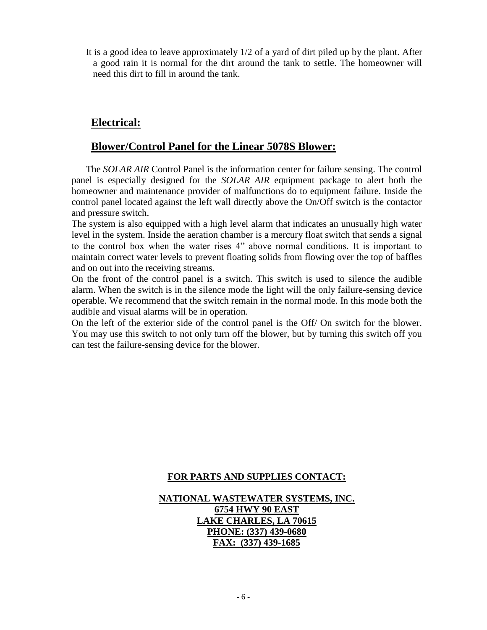It is a good idea to leave approximately 1/2 of a yard of dirt piled up by the plant. After a good rain it is normal for the dirt around the tank to settle. The homeowner will need this dirt to fill in around the tank.

#### **Electrical:**

#### **Blower/Control Panel for the Linear 5078S Blower:**

The *SOLAR AIR* Control Panel is the information center for failure sensing. The control panel is especially designed for the *SOLAR AIR* equipment package to alert both the homeowner and maintenance provider of malfunctions do to equipment failure. Inside the control panel located against the left wall directly above the On/Off switch is the contactor and pressure switch.

The system is also equipped with a high level alarm that indicates an unusually high water level in the system. Inside the aeration chamber is a mercury float switch that sends a signal to the control box when the water rises 4" above normal conditions. It is important to maintain correct water levels to prevent floating solids from flowing over the top of baffles and on out into the receiving streams.

On the front of the control panel is a switch. This switch is used to silence the audible alarm. When the switch is in the silence mode the light will the only failure-sensing device operable. We recommend that the switch remain in the normal mode. In this mode both the audible and visual alarms will be in operation.

On the left of the exterior side of the control panel is the Off/ On switch for the blower. You may use this switch to not only turn off the blower, but by turning this switch off you can test the failure-sensing device for the blower.

#### **FOR PARTS AND SUPPLIES CONTACT:**

#### **NATIONAL WASTEWATER SYSTEMS, INC. 6754 HWY 90 EAST LAKE CHARLES, LA 70615 PHONE: (337) 439-0680 FAX: (337) 439-1685**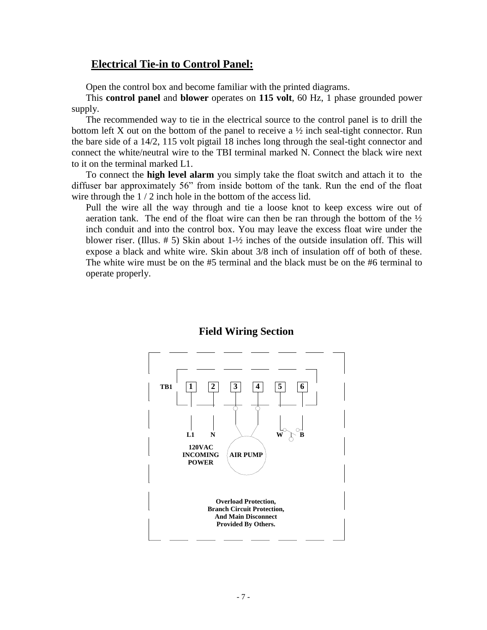#### **Electrical Tie-in to Control Panel:**

Open the control box and become familiar with the printed diagrams.

This **control panel** and **blower** operates on **115 volt**, 60 Hz, 1 phase grounded power supply.

The recommended way to tie in the electrical source to the control panel is to drill the bottom left X out on the bottom of the panel to receive a  $\frac{1}{2}$  inch seal-tight connector. Run the bare side of a 14/2, 115 volt pigtail 18 inches long through the seal-tight connector and connect the white/neutral wire to the TBI terminal marked N. Connect the black wire next to it on the terminal marked L1.

To connect the **high level alarm** you simply take the float switch and attach it to the diffuser bar approximately 56" from inside bottom of the tank. Run the end of the float wire through the 1 / 2 inch hole in the bottom of the access lid.

Pull the wire all the way through and tie a loose knot to keep excess wire out of aeration tank. The end of the float wire can then be ran through the bottom of the  $\frac{1}{2}$ inch conduit and into the control box. You may leave the excess float wire under the blower riser. (Illus. # 5) Skin about 1-½ inches of the outside insulation off. This will expose a black and white wire. Skin about 3/8 inch of insulation off of both of these. The white wire must be on the #5 terminal and the black must be on the #6 terminal to operate properly.



#### **Field Wiring Section**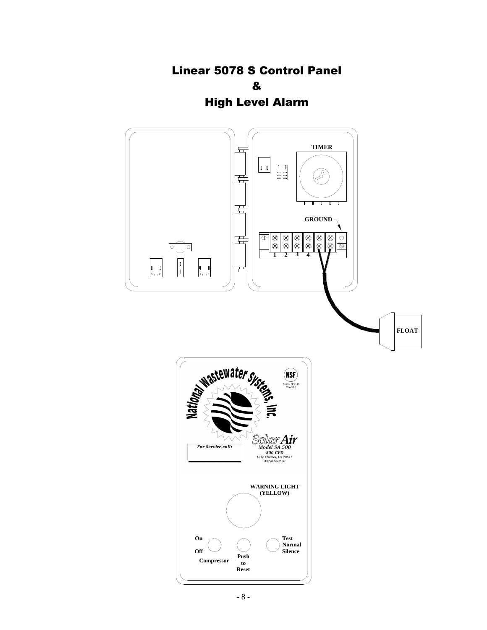Linear 5078 S Control Panel & High Level Alarm